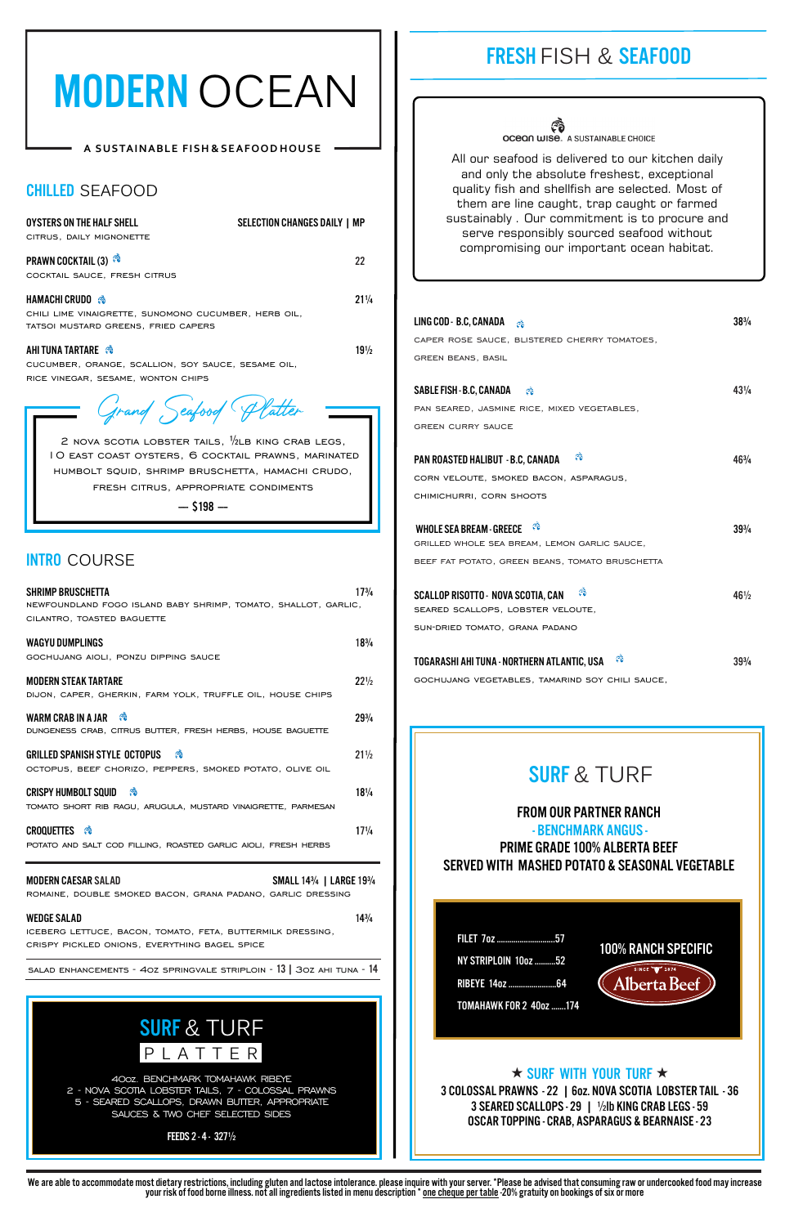## FRESH FISH & SEAFOOD

**OCEON WISE. A SUSTAINABLE CHOICE** 

# SURF & TURF  $\overline{P}$  L A T T E R

# SURF & TURF

FILET 7oz ............................57 NY STRIPLOIN 10oz..........52 RIBEYE 14oz .......................64 TOMAHAWK FOR 2 40oz .......174





## $\star$  surf with your turf  $\star$

## FROM OUR PARTNER RANCH

 - BENCHMARK ANGUS - PRIME GRADE 100% ALBERTA BEEF SERVED WITH MASHED POTATO & SEASONAL VEGETABLE

#### WEDGE SALAD 14<sup>3</sup>/4

All our seafood is delivered to our kitchen daily and only the absolute freshest, exceptional quality fish and shellfish are selected. Most of them are line caught, trap caught or farmed sustainably . Our commitment is to procure and serve responsibly sourced seafood without compromising our important ocean habitat.

40oz. BENCHMARK TOMAHAWK RIBEYE 2 - NOVA SCOTIA LOBSTER TAILS, 7 - COLOSSAL PRAWNS 5 - SEARED SCALLOPS, DRAWN BUTTER, APPROPRIATE SAUCES & TWO CHEF SELECTED SIDES

# MODERN OCEAN

## **A SUSTAINABLE FISH & SEAFOOD HOUSE**

FEEDS 2 - 4 - 327½

| LING COD - B.C, CANADA $\otimes$                 | $38\frac{3}{4}$ |
|--------------------------------------------------|-----------------|
| CAPER ROSE SAUCE, BLISTERED CHERRY TOMATOES,     |                 |
| <b>GREEN BEANS, BASIL</b>                        |                 |
|                                                  |                 |
| SABLE FISH - B.C, CANADA &                       | $43\frac{1}{4}$ |
| PAN SEARED, JASMINE RICE, MIXED VEGETABLES,      |                 |
| <b>GREEN CURRY SAUCE</b>                         |                 |
|                                                  |                 |
| ణి<br>PAN ROASTED HALIBUT - B.C, CANADA          | 463/4           |
| CORN VELOUTE, SMOKED BACON, ASPARAGUS,           |                 |
| CHIMICHURRI, CORN SHOOTS                         |                 |
| ಣ                                                |                 |
| <b>WHOLE SEA BREAM - GREECE</b>                  | $39\frac{3}{4}$ |
| GRILLED WHOLE SEA BREAM, LEMON GARLIC SAUCE,     |                 |
| BEEF FAT POTATO, GREEN BEANS, TOMATO BRUSCHETTA  |                 |
| ಿ<br>SCALLOP RISOTTO - NOVA SCOTIA, CAN          | $46\frac{1}{2}$ |
| SEARED SCALLOPS, LOBSTER VELOUTE,                |                 |
| SUN-DRIED TOMATO, GRANA PADANO                   |                 |
|                                                  |                 |
| ಿ<br>Togarashi ahi tuna - Northern Atlantic, USA | $39\frac{3}{4}$ |

gochujang vegetables, tamarind soy chili sauce,

## CHILLED SEAFOOD

| <b>OYSTERS ON THE HALF SHELL</b><br>CITRUS, DAILY MIGNONETTE                                                                                                                                                                                               | <b>SELECTION CHANGES DAILY   MP</b> |
|------------------------------------------------------------------------------------------------------------------------------------------------------------------------------------------------------------------------------------------------------------|-------------------------------------|
| <b>PRAWN COCKTAIL (3) <sup>26</sup></b><br>COCKTAIL SAUCE, FRESH CITRUS                                                                                                                                                                                    | 22                                  |
| HAMACHICRUDO ��<br>CHILI LIME VINAIGRETTE, SUNOMONO CUCUMBER, HERB OIL,<br>TATSOI MUSTARD GREENS, FRIED CAPERS                                                                                                                                             | $21\frac{1}{4}$                     |
| AHI TUNA TARTARE<br>CUCUMBER, ORANGE, SCALLION, SOY SAUCE, SESAME OIL,<br>RICE VINEGAR, SESAME, WONTON CHIPS                                                                                                                                               | $19\frac{1}{2}$                     |
| Grand Seafood Platter<br>2 NOVA SCOTIA LOBSTER TAILS, $\frac{1}{2}$ LB KING CRAB LEGS,<br>IO EAST COAST OYSTERS, 6 COCKTAIL PRAWNS, MARINATED<br>HUMBOLT SQUID, SHRIMP BRUSCHETTA, HAMACHI CRUDO,<br>FRESH CITRUS, APPROPRIATE CONDIMENTS<br>$-$ \$198 $-$ |                                     |
| <b>INTRO COURSE</b><br><b>SHRIMP BRUSCHETTA</b><br>NEWFOUNDLAND FOGO ISLAND BABY SHRIMP, TOMATO, SHALLOT, GARLIC,<br>CILANTRO, TOASTED BAGUETTE                                                                                                            | $17^{3}/_{4}$                       |
| <b>WAGYU DUMPLINGS</b><br>GOCHUJANG AIOLI, PONZU DIPPING SAUCE                                                                                                                                                                                             | $18^{3}/_{4}$                       |
| <b>MODERN STEAK TARTARE</b><br>DIJON, CAPER, GHERKIN, FARM YOLK, TRUFFLE OIL, HOUSE CHIPS                                                                                                                                                                  | $22\frac{1}{2}$                     |
| ణ<br><b>WARM CRAB IN A JAR</b><br>DUNGENESS CRAB, CITRUS BUTTER, FRESH HERBS, HOUSE BAGUETTE                                                                                                                                                               | $29^{3}/_{4}$                       |
| <b>GRILLED SPANISH STYLE OCTOPUS</b><br>ణి<br>OCTOPUS, BEEF CHORIZO, PEPPERS, SMOKED POTATO, OLIVE OIL                                                                                                                                                     | $21\frac{1}{2}$                     |
| <b>CRISPY HUMBOLT SQUID</b><br>ಿ<br>TOMATO SHORT RIB RAGU, ARUGULA, MUSTARD VINAIGRETTE, PARMESAN                                                                                                                                                          | $18\frac{1}{4}$                     |
| <b>CROQUETTES ®</b><br>POTATO AND SALT COD FILLING, ROASTED GARLIC AIOLI, FRESH HERBS                                                                                                                                                                      | $17\frac{1}{4}$                     |
| <b>MODERN CAESAR SALAD</b><br>ROMAINE, DOUBLE SMOKED BACON, GRANA PADANO, GARLIC DRESSING                                                                                                                                                                  | SMALL 143/4   LARGE 193/4           |

iceberg lettuce, bacon, tomato, feta, buttermilk dressing, crispy pickled onions, everything bagel spice

salad enhancements - 4oz springvale striploin - 13 | 3oz ahi tuna - 14

3 COLOSSAL PRAWNS - 22 | 6oz. NOVA SCOTIA LOBSTER TAIL - 36 3 SEARED SCALLOPS - 29 | ½lb KING CRAB LEGS - 59 OSCAR TOPPING - CRAB, ASPARAGUS & BEARNAISE - 23

We are able to accommodate most dietary restrictions, including gluten and lactose intolerance. please inquire with your server. \*Please be advised that consuming raw or undercooked food may increase your risk of food borne illness. not all ingredients listed in menu description \* one cheque per table -20% gratuity on bookings of six or more